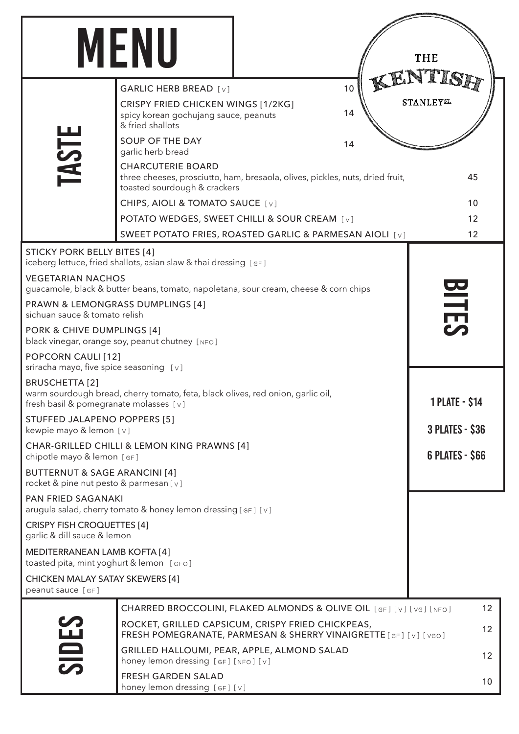|                                                                                                                                                    | <b>MENU</b>                                                                                                                               |  |                       | THE              |
|----------------------------------------------------------------------------------------------------------------------------------------------------|-------------------------------------------------------------------------------------------------------------------------------------------|--|-----------------------|------------------|
|                                                                                                                                                    | <b>GARLIC HERB BREAD</b> [v]                                                                                                              |  | 10                    |                  |
|                                                                                                                                                    | CRISPY FRIED CHICKEN WINGS [1/2KG]<br>spicy korean gochujang sauce, peanuts<br>& fried shallots                                           |  | 14                    | <b>STANLEYST</b> |
|                                                                                                                                                    | SOUP OF THE DAY<br>garlic herb bread                                                                                                      |  | 14                    |                  |
| <b>TASTE</b>                                                                                                                                       | <b>CHARCUTERIE BOARD</b><br>three cheeses, prosciutto, ham, bresaola, olives, pickles, nuts, dried fruit,<br>toasted sourdough & crackers |  |                       | 45               |
|                                                                                                                                                    | CHIPS, AIOLI & TOMATO SAUCE [v]                                                                                                           |  |                       | 10               |
|                                                                                                                                                    | POTATO WEDGES, SWEET CHILLI & SOUR CREAM [v]                                                                                              |  |                       | 12               |
|                                                                                                                                                    | SWEET POTATO FRIES, ROASTED GARLIC & PARMESAN AIOLI [v]                                                                                   |  |                       | 12               |
| <b>STICKY PORK BELLY BITES [4]</b>                                                                                                                 | iceberg lettuce, fried shallots, asian slaw & thai dressing [GF]                                                                          |  |                       |                  |
| <b>VEGETARIAN NACHOS</b><br>guacamole, black & butter beans, tomato, napoletana, sour cream, cheese & corn chips                                   |                                                                                                                                           |  |                       |                  |
| <b>PRAWN &amp; LEMONGRASS DUMPLINGS [4]</b><br>sichuan sauce & tomato relish                                                                       |                                                                                                                                           |  | <b>BITES</b>          |                  |
| PORK & CHIVE DUMPLINGS [4]<br>black vinegar, orange soy, peanut chutney [NFO]                                                                      |                                                                                                                                           |  |                       |                  |
| POPCORN CAULI [12]<br>sriracha mayo, five spice seasoning [v]                                                                                      |                                                                                                                                           |  |                       |                  |
| <b>BRUSCHETTA [2]</b><br>warm sourdough bread, cherry tomato, feta, black olives, red onion, garlic oil,<br>fresh basil & pomegranate molasses [v] |                                                                                                                                           |  | <b>1 PLATE - \$14</b> |                  |
| STUFFED JALAPENO POPPERS [5]<br>kewpie mayo & lemon [v]                                                                                            |                                                                                                                                           |  | 3 PLATES - \$36       |                  |
| CHAR-GRILLED CHILLI & LEMON KING PRAWNS [4]<br>chipotle mayo & lemon [GF]                                                                          |                                                                                                                                           |  | 6 PLATES - \$66       |                  |
| <b>BUTTERNUT &amp; SAGE ARANCINI [4]</b><br>rocket & pine nut pesto & parmesan [v]                                                                 |                                                                                                                                           |  |                       |                  |
| <b>PAN FRIED SAGANAKI</b>                                                                                                                          | arugula salad, cherry tomato & honey lemon dressing [GF] [V]                                                                              |  |                       |                  |
| <b>CRISPY FISH CROQUETTES [4]</b><br>garlic & dill sauce & lemon                                                                                   |                                                                                                                                           |  |                       |                  |
| MEDITERRANEAN LAMB KOFTA [4]<br>toasted pita, mint yoghurt & lemon [GFO]                                                                           |                                                                                                                                           |  |                       |                  |
| <b>CHICKEN MALAY SATAY SKEWERS [4]</b><br>peanut sauce [GF]                                                                                        |                                                                                                                                           |  |                       |                  |
|                                                                                                                                                    | CHARRED BROCCOLINI, FLAKED ALMONDS & OLIVE OIL [GF] [V] [VG] [NFO]                                                                        |  |                       | 12               |
|                                                                                                                                                    | ROCKET, GRILLED CAPSICUM, CRISPY FRIED CHICKPEAS,<br>FRESH POMEGRANATE, PARMESAN & SHERRY VINAIGRETTE [GF] [V] [VGO]                      |  |                       | 12               |
| <b>SIDES</b>                                                                                                                                       | GRILLED HALLOUMI, PEAR, APPLE, ALMOND SALAD<br>honey lemon dressing [GF] [NFO] [V]                                                        |  |                       | 12               |
|                                                                                                                                                    | <b>FRESH GARDEN SALAD</b><br>honey lemon dressing [GF] [V]                                                                                |  |                       | 10               |